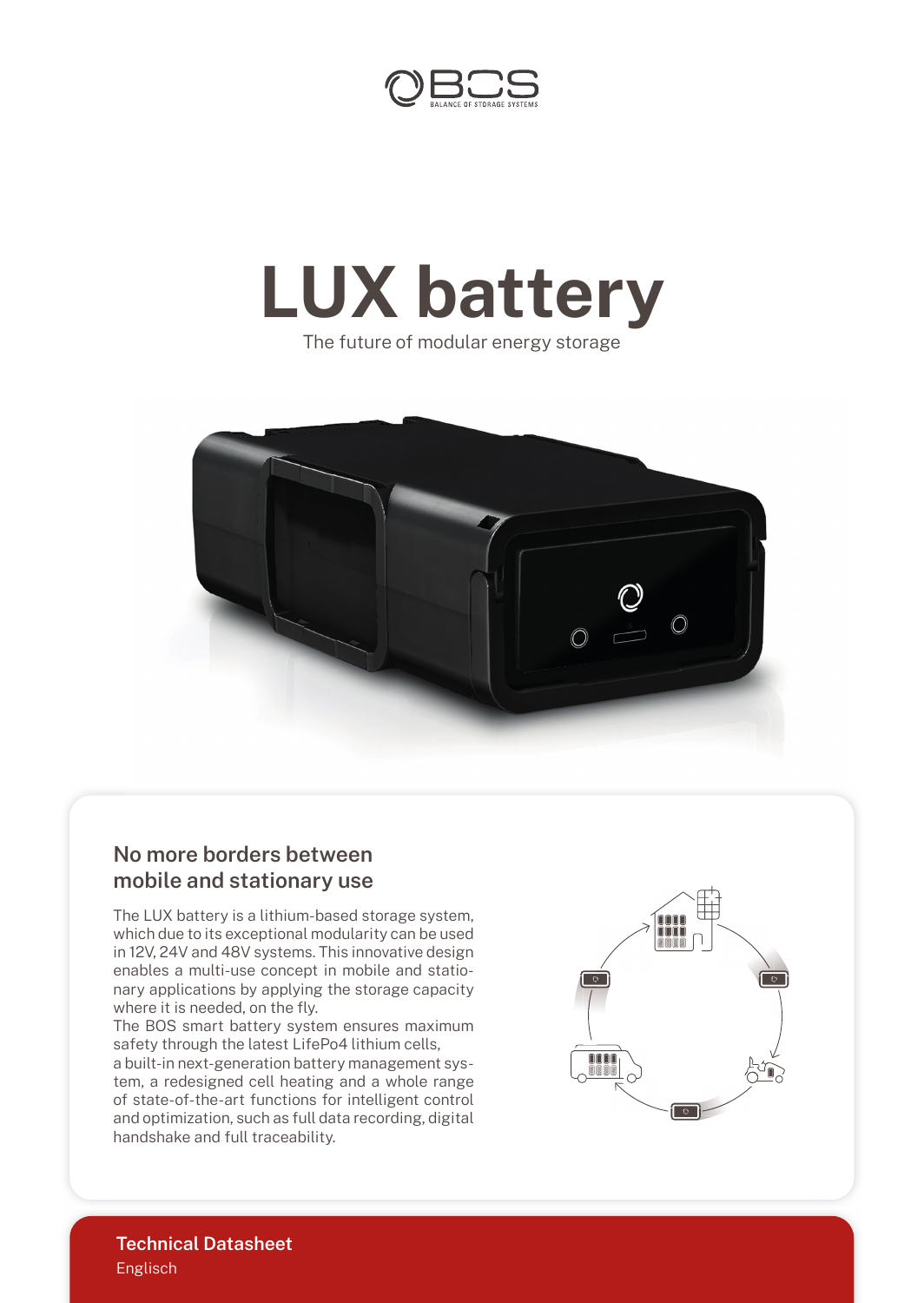

## **LUX battery**

The future of modular energy storage



## **No more borders between mobile and stationary use**

The LUX battery is a lithium-based storage system, which due to its exceptional modularity can be used in 12V, 24V and 48V systems. This innovative design enables a multi-use concept in mobile and stationary applications by applying the storage capacity where it is needed, on the fly.

The BOS smart battery system ensures maximum safety through the latest LifePo4 lithium cells,

a built-in next-generation battery management system, a redesigned cell heating and a whole range of state-of-the-art functions for intelligent control and optimization, such as full data recording, digital handshake and full traceability.



Englisch **Technical Datasheet**